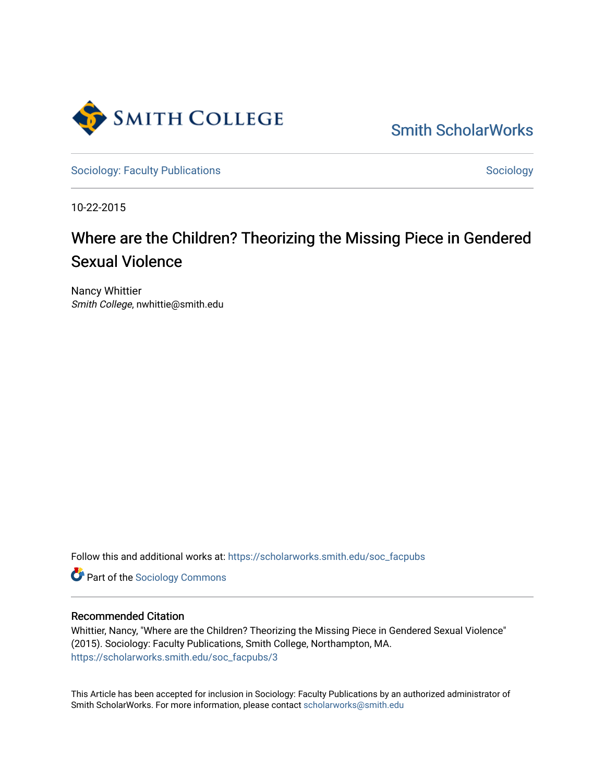

[Smith ScholarWorks](https://scholarworks.smith.edu/) 

[Sociology: Faculty Publications](https://scholarworks.smith.edu/soc_facpubs) Sociology: Sociology

10-22-2015

# Where are the Children? Theorizing the Missing Piece in Gendered Sexual Violence

Nancy Whittier Smith College, nwhittie@smith.edu

Follow this and additional works at: [https://scholarworks.smith.edu/soc\\_facpubs](https://scholarworks.smith.edu/soc_facpubs?utm_source=scholarworks.smith.edu%2Fsoc_facpubs%2F3&utm_medium=PDF&utm_campaign=PDFCoverPages) 

**Part of the [Sociology Commons](http://network.bepress.com/hgg/discipline/416?utm_source=scholarworks.smith.edu%2Fsoc_facpubs%2F3&utm_medium=PDF&utm_campaign=PDFCoverPages)** 

## Recommended Citation

Whittier, Nancy, "Where are the Children? Theorizing the Missing Piece in Gendered Sexual Violence" (2015). Sociology: Faculty Publications, Smith College, Northampton, MA. [https://scholarworks.smith.edu/soc\\_facpubs/3](https://scholarworks.smith.edu/soc_facpubs/3?utm_source=scholarworks.smith.edu%2Fsoc_facpubs%2F3&utm_medium=PDF&utm_campaign=PDFCoverPages)

This Article has been accepted for inclusion in Sociology: Faculty Publications by an authorized administrator of Smith ScholarWorks. For more information, please contact [scholarworks@smith.edu](mailto:scholarworks@smith.edu)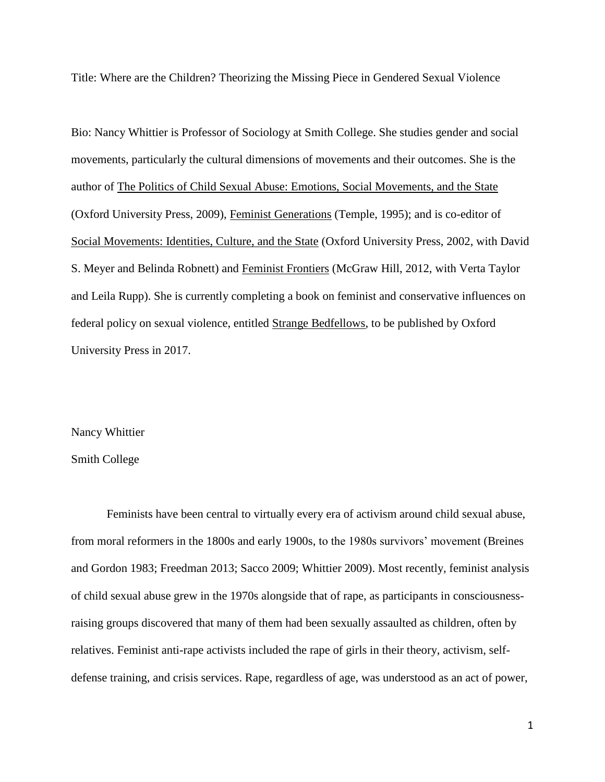Title: Where are the Children? Theorizing the Missing Piece in Gendered Sexual Violence

Bio: Nancy Whittier is Professor of Sociology at Smith College. She studies gender and social movements, particularly the cultural dimensions of movements and their outcomes. She is the author of The Politics of Child Sexual Abuse: Emotions, Social Movements, and the State (Oxford University Press, 2009), Feminist Generations (Temple, 1995); and is co-editor of Social Movements: Identities, Culture, and the State (Oxford University Press, 2002, with David S. Meyer and Belinda Robnett) and Feminist Frontiers (McGraw Hill, 2012, with Verta Taylor and Leila Rupp). She is currently completing a book on feminist and conservative influences on federal policy on sexual violence, entitled Strange Bedfellows, to be published by Oxford University Press in 2017.

#### Nancy Whittier

## Smith College

Feminists have been central to virtually every era of activism around child sexual abuse, from moral reformers in the 1800s and early 1900s, to the 1980s survivors' movement (Breines and Gordon 1983; Freedman 2013; Sacco 2009; Whittier 2009). Most recently, feminist analysis of child sexual abuse grew in the 1970s alongside that of rape, as participants in consciousnessraising groups discovered that many of them had been sexually assaulted as children, often by relatives. Feminist anti-rape activists included the rape of girls in their theory, activism, selfdefense training, and crisis services. Rape, regardless of age, was understood as an act of power,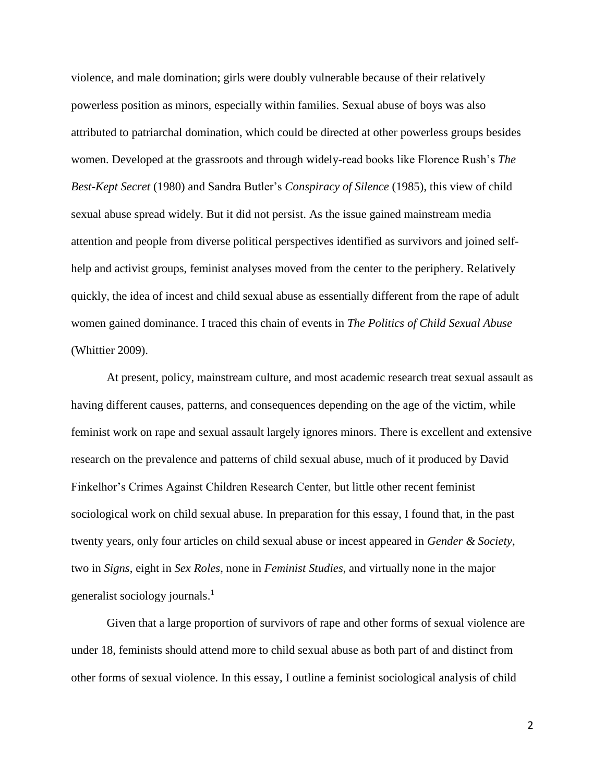violence, and male domination; girls were doubly vulnerable because of their relatively powerless position as minors, especially within families. Sexual abuse of boys was also attributed to patriarchal domination, which could be directed at other powerless groups besides women. Developed at the grassroots and through widely-read books like Florence Rush's *The Best-Kept Secret* (1980) and Sandra Butler's *Conspiracy of Silence* (1985), this view of child sexual abuse spread widely. But it did not persist. As the issue gained mainstream media attention and people from diverse political perspectives identified as survivors and joined selfhelp and activist groups, feminist analyses moved from the center to the periphery. Relatively quickly, the idea of incest and child sexual abuse as essentially different from the rape of adult women gained dominance. I traced this chain of events in *The Politics of Child Sexual Abuse* (Whittier 2009).

At present, policy, mainstream culture, and most academic research treat sexual assault as having different causes, patterns, and consequences depending on the age of the victim, while feminist work on rape and sexual assault largely ignores minors. There is excellent and extensive research on the prevalence and patterns of child sexual abuse, much of it produced by David Finkelhor's Crimes Against Children Research Center, but little other recent feminist sociological work on child sexual abuse. In preparation for this essay, I found that, in the past twenty years, only four articles on child sexual abuse or incest appeared in *Gender & Society*, two in *Signs*, eight in *Sex Roles*, none in *Feminist Studies*, and virtually none in the major generalist sociology journals. 1

Given that a large proportion of survivors of rape and other forms of sexual violence are under 18, feminists should attend more to child sexual abuse as both part of and distinct from other forms of sexual violence. In this essay, I outline a feminist sociological analysis of child

 $\overline{\phantom{a}}$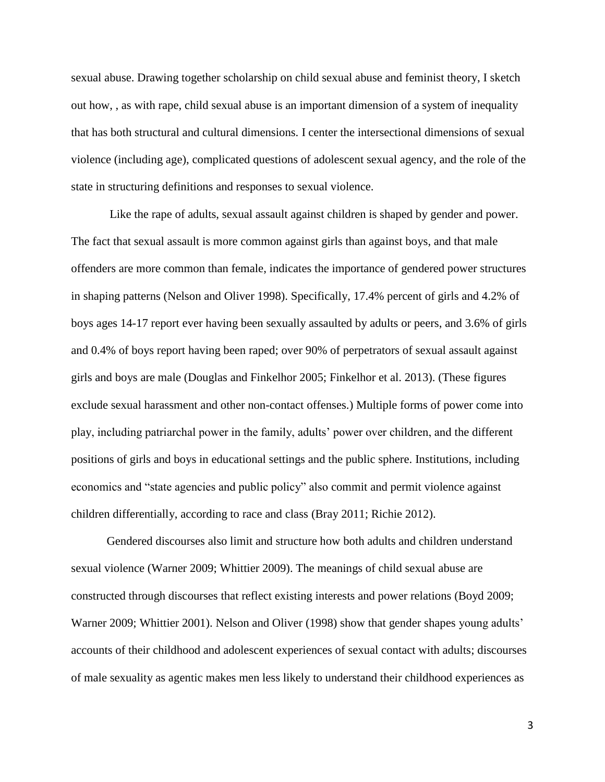sexual abuse. Drawing together scholarship on child sexual abuse and feminist theory, I sketch out how, , as with rape, child sexual abuse is an important dimension of a system of inequality that has both structural and cultural dimensions. I center the intersectional dimensions of sexual violence (including age), complicated questions of adolescent sexual agency, and the role of the state in structuring definitions and responses to sexual violence.

Like the rape of adults, sexual assault against children is shaped by gender and power. The fact that sexual assault is more common against girls than against boys, and that male offenders are more common than female, indicates the importance of gendered power structures in shaping patterns (Nelson and Oliver 1998). Specifically, 17.4% percent of girls and 4.2% of boys ages 14-17 report ever having been sexually assaulted by adults or peers, and 3.6% of girls and 0.4% of boys report having been raped; over 90% of perpetrators of sexual assault against girls and boys are male (Douglas and Finkelhor 2005; Finkelhor et al. 2013). (These figures exclude sexual harassment and other non-contact offenses.) Multiple forms of power come into play, including patriarchal power in the family, adults' power over children, and the different positions of girls and boys in educational settings and the public sphere. Institutions, including economics and "state agencies and public policy" also commit and permit violence against children differentially, according to race and class (Bray 2011; Richie 2012).

Gendered discourses also limit and structure how both adults and children understand sexual violence (Warner 2009; Whittier 2009). The meanings of child sexual abuse are constructed through discourses that reflect existing interests and power relations (Boyd 2009; Warner 2009; Whittier 2001). Nelson and Oliver (1998) show that gender shapes young adults' accounts of their childhood and adolescent experiences of sexual contact with adults; discourses of male sexuality as agentic makes men less likely to understand their childhood experiences as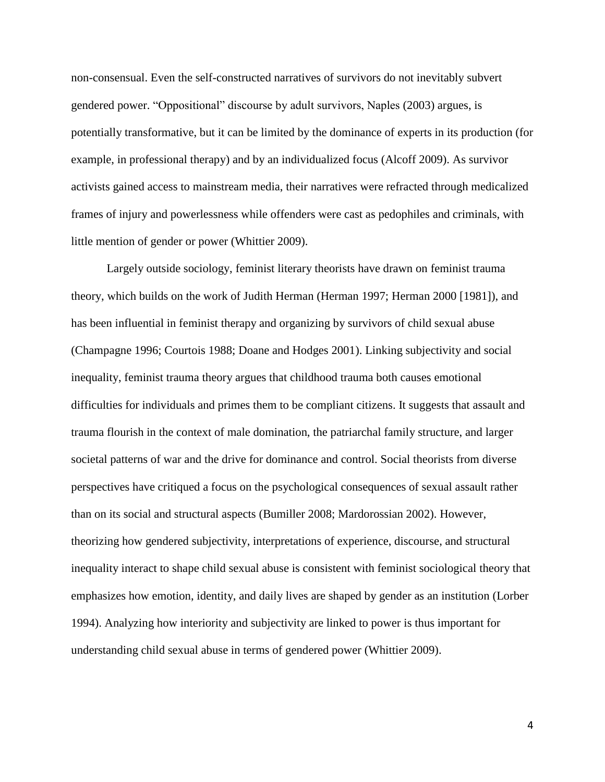non-consensual. Even the self-constructed narratives of survivors do not inevitably subvert gendered power. "Oppositional" discourse by adult survivors, Naples (2003) argues, is potentially transformative, but it can be limited by the dominance of experts in its production (for example, in professional therapy) and by an individualized focus (Alcoff 2009). As survivor activists gained access to mainstream media, their narratives were refracted through medicalized frames of injury and powerlessness while offenders were cast as pedophiles and criminals, with little mention of gender or power (Whittier 2009).

Largely outside sociology, feminist literary theorists have drawn on feminist trauma theory, which builds on the work of Judith Herman (Herman 1997; Herman 2000 [1981]), and has been influential in feminist therapy and organizing by survivors of child sexual abuse (Champagne 1996; Courtois 1988; Doane and Hodges 2001). Linking subjectivity and social inequality, feminist trauma theory argues that childhood trauma both causes emotional difficulties for individuals and primes them to be compliant citizens. It suggests that assault and trauma flourish in the context of male domination, the patriarchal family structure, and larger societal patterns of war and the drive for dominance and control. Social theorists from diverse perspectives have critiqued a focus on the psychological consequences of sexual assault rather than on its social and structural aspects (Bumiller 2008; Mardorossian 2002). However, theorizing how gendered subjectivity, interpretations of experience, discourse, and structural inequality interact to shape child sexual abuse is consistent with feminist sociological theory that emphasizes how emotion, identity, and daily lives are shaped by gender as an institution (Lorber 1994). Analyzing how interiority and subjectivity are linked to power is thus important for understanding child sexual abuse in terms of gendered power (Whittier 2009).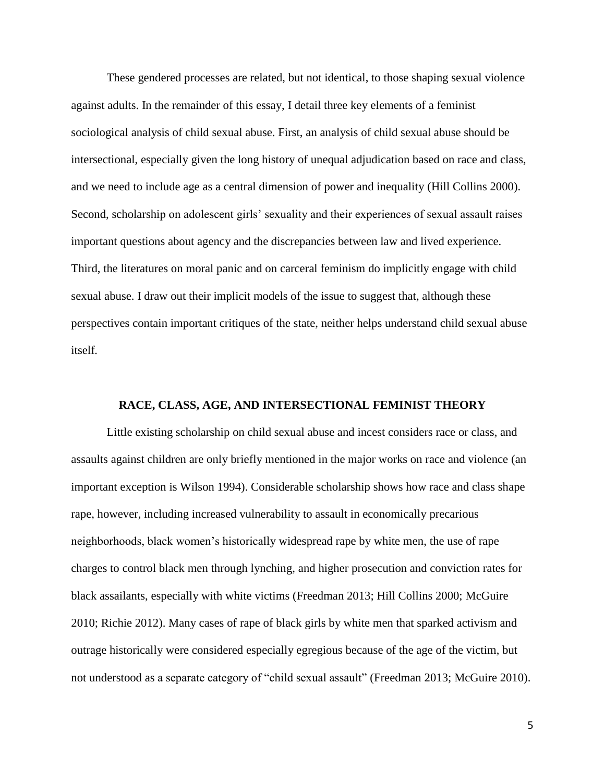These gendered processes are related, but not identical, to those shaping sexual violence against adults. In the remainder of this essay, I detail three key elements of a feminist sociological analysis of child sexual abuse. First, an analysis of child sexual abuse should be intersectional, especially given the long history of unequal adjudication based on race and class, and we need to include age as a central dimension of power and inequality (Hill Collins 2000). Second, scholarship on adolescent girls' sexuality and their experiences of sexual assault raises important questions about agency and the discrepancies between law and lived experience. Third, the literatures on moral panic and on carceral feminism do implicitly engage with child sexual abuse. I draw out their implicit models of the issue to suggest that, although these perspectives contain important critiques of the state, neither helps understand child sexual abuse itself*.*

## **RACE, CLASS, AGE, AND INTERSECTIONAL FEMINIST THEORY**

Little existing scholarship on child sexual abuse and incest considers race or class, and assaults against children are only briefly mentioned in the major works on race and violence (an important exception is Wilson 1994). Considerable scholarship shows how race and class shape rape, however, including increased vulnerability to assault in economically precarious neighborhoods, black women's historically widespread rape by white men, the use of rape charges to control black men through lynching, and higher prosecution and conviction rates for black assailants, especially with white victims (Freedman 2013; Hill Collins 2000; McGuire 2010; Richie 2012). Many cases of rape of black girls by white men that sparked activism and outrage historically were considered especially egregious because of the age of the victim, but not understood as a separate category of "child sexual assault" (Freedman 2013; McGuire 2010).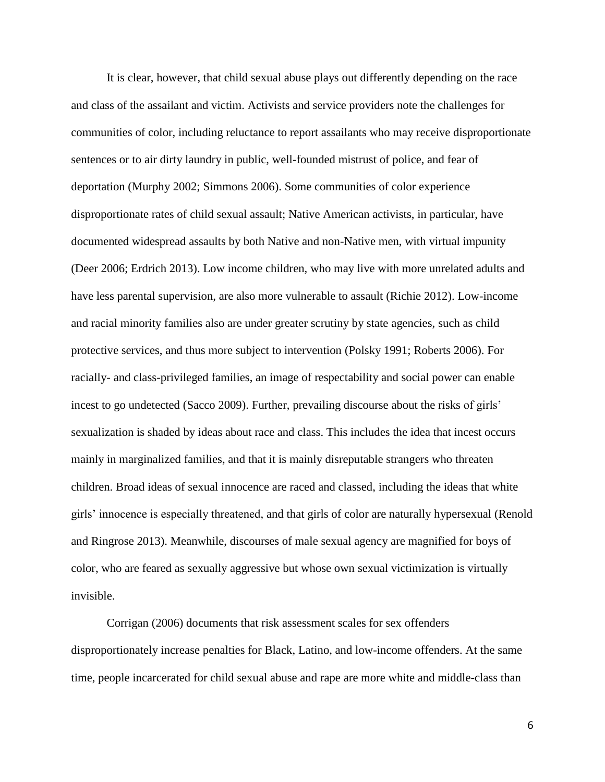It is clear, however, that child sexual abuse plays out differently depending on the race and class of the assailant and victim. Activists and service providers note the challenges for communities of color, including reluctance to report assailants who may receive disproportionate sentences or to air dirty laundry in public, well-founded mistrust of police, and fear of deportation (Murphy 2002; Simmons 2006). Some communities of color experience disproportionate rates of child sexual assault; Native American activists, in particular, have documented widespread assaults by both Native and non-Native men, with virtual impunity (Deer 2006; Erdrich 2013). Low income children, who may live with more unrelated adults and have less parental supervision, are also more vulnerable to assault (Richie 2012). Low-income and racial minority families also are under greater scrutiny by state agencies, such as child protective services, and thus more subject to intervention (Polsky 1991; Roberts 2006). For racially- and class-privileged families, an image of respectability and social power can enable incest to go undetected (Sacco 2009). Further, prevailing discourse about the risks of girls' sexualization is shaded by ideas about race and class. This includes the idea that incest occurs mainly in marginalized families, and that it is mainly disreputable strangers who threaten children. Broad ideas of sexual innocence are raced and classed, including the ideas that white girls' innocence is especially threatened, and that girls of color are naturally hypersexual (Renold and Ringrose 2013). Meanwhile, discourses of male sexual agency are magnified for boys of color, who are feared as sexually aggressive but whose own sexual victimization is virtually invisible.

Corrigan (2006) documents that risk assessment scales for sex offenders disproportionately increase penalties for Black, Latino, and low-income offenders. At the same time, people incarcerated for child sexual abuse and rape are more white and middle-class than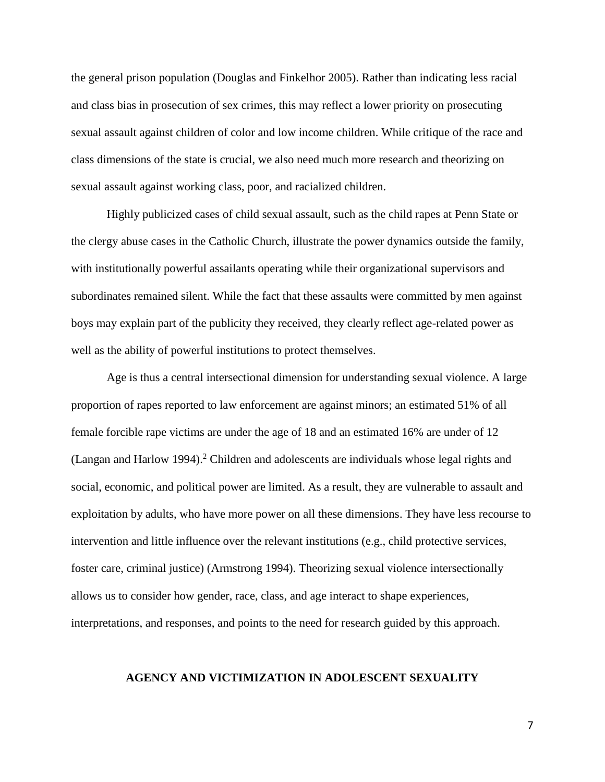the general prison population (Douglas and Finkelhor 2005). Rather than indicating less racial and class bias in prosecution of sex crimes, this may reflect a lower priority on prosecuting sexual assault against children of color and low income children. While critique of the race and class dimensions of the state is crucial, we also need much more research and theorizing on sexual assault against working class, poor, and racialized children.

Highly publicized cases of child sexual assault, such as the child rapes at Penn State or the clergy abuse cases in the Catholic Church, illustrate the power dynamics outside the family, with institutionally powerful assailants operating while their organizational supervisors and subordinates remained silent. While the fact that these assaults were committed by men against boys may explain part of the publicity they received, they clearly reflect age-related power as well as the ability of powerful institutions to protect themselves.

Age is thus a central intersectional dimension for understanding sexual violence. A large proportion of rapes reported to law enforcement are against minors; an estimated 51% of all female forcible rape victims are under the age of 18 and an estimated 16% are under of 12 (Langan and Harlow 1994). <sup>2</sup> Children and adolescents are individuals whose legal rights and social, economic, and political power are limited. As a result, they are vulnerable to assault and exploitation by adults, who have more power on all these dimensions. They have less recourse to intervention and little influence over the relevant institutions (e.g., child protective services, foster care, criminal justice) (Armstrong 1994). Theorizing sexual violence intersectionally allows us to consider how gender, race, class, and age interact to shape experiences, interpretations, and responses, and points to the need for research guided by this approach.

### **AGENCY AND VICTIMIZATION IN ADOLESCENT SEXUALITY**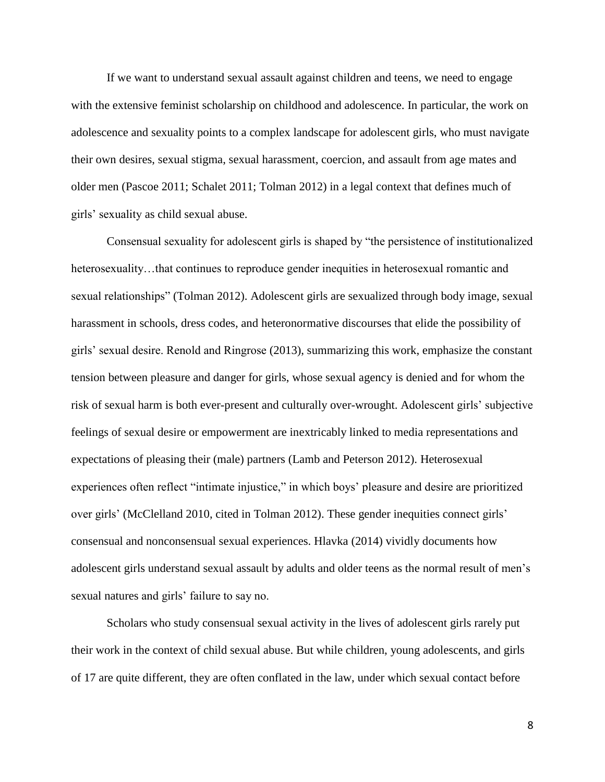If we want to understand sexual assault against children and teens, we need to engage with the extensive feminist scholarship on childhood and adolescence. In particular, the work on adolescence and sexuality points to a complex landscape for adolescent girls, who must navigate their own desires, sexual stigma, sexual harassment, coercion, and assault from age mates and older men (Pascoe 2011; Schalet 2011; Tolman 2012) in a legal context that defines much of girls' sexuality as child sexual abuse.

Consensual sexuality for adolescent girls is shaped by "the persistence of institutionalized heterosexuality...that continues to reproduce gender inequities in heterosexual romantic and sexual relationships" (Tolman 2012). Adolescent girls are sexualized through body image, sexual harassment in schools, dress codes, and heteronormative discourses that elide the possibility of girls' sexual desire. Renold and Ringrose (2013), summarizing this work, emphasize the constant tension between pleasure and danger for girls, whose sexual agency is denied and for whom the risk of sexual harm is both ever-present and culturally over-wrought. Adolescent girls' subjective feelings of sexual desire or empowerment are inextricably linked to media representations and expectations of pleasing their (male) partners (Lamb and Peterson 2012). Heterosexual experiences often reflect "intimate injustice," in which boys' pleasure and desire are prioritized over girls' (McClelland 2010, cited in Tolman 2012). These gender inequities connect girls' consensual and nonconsensual sexual experiences. Hlavka (2014) vividly documents how adolescent girls understand sexual assault by adults and older teens as the normal result of men's sexual natures and girls' failure to say no.

Scholars who study consensual sexual activity in the lives of adolescent girls rarely put their work in the context of child sexual abuse. But while children, young adolescents, and girls of 17 are quite different, they are often conflated in the law, under which sexual contact before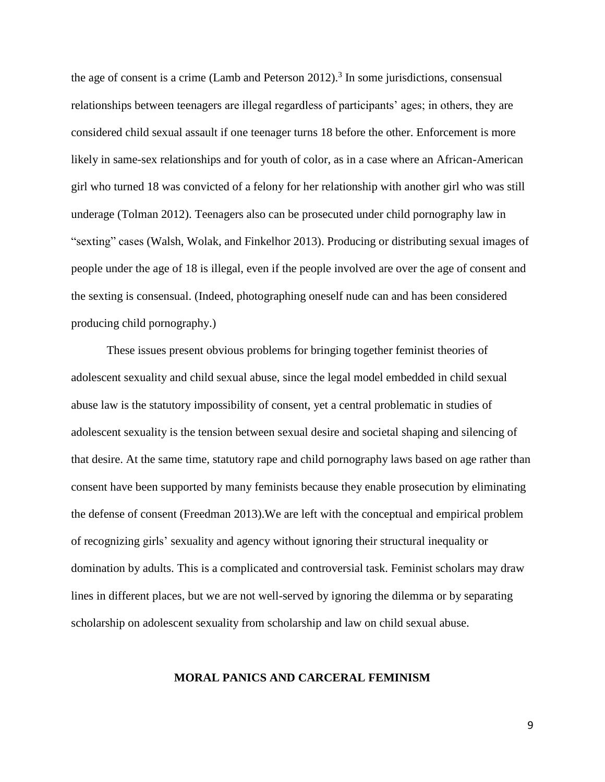the age of consent is a crime (Lamb and Peterson  $2012$ ).<sup>3</sup> In some jurisdictions, consensual relationships between teenagers are illegal regardless of participants' ages; in others, they are considered child sexual assault if one teenager turns 18 before the other. Enforcement is more likely in same-sex relationships and for youth of color, as in a case where an African-American girl who turned 18 was convicted of a felony for her relationship with another girl who was still underage (Tolman 2012). Teenagers also can be prosecuted under child pornography law in "sexting" cases (Walsh, Wolak, and Finkelhor 2013). Producing or distributing sexual images of people under the age of 18 is illegal, even if the people involved are over the age of consent and the sexting is consensual. (Indeed, photographing oneself nude can and has been considered producing child pornography.)

These issues present obvious problems for bringing together feminist theories of adolescent sexuality and child sexual abuse, since the legal model embedded in child sexual abuse law is the statutory impossibility of consent, yet a central problematic in studies of adolescent sexuality is the tension between sexual desire and societal shaping and silencing of that desire. At the same time, statutory rape and child pornography laws based on age rather than consent have been supported by many feminists because they enable prosecution by eliminating the defense of consent (Freedman 2013).We are left with the conceptual and empirical problem of recognizing girls' sexuality and agency without ignoring their structural inequality or domination by adults. This is a complicated and controversial task. Feminist scholars may draw lines in different places, but we are not well-served by ignoring the dilemma or by separating scholarship on adolescent sexuality from scholarship and law on child sexual abuse.

### **MORAL PANICS AND CARCERAL FEMINISM**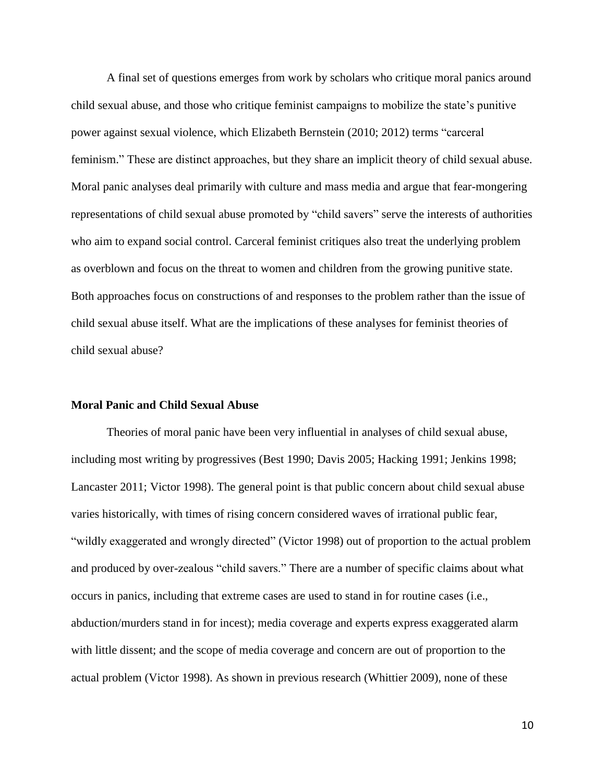A final set of questions emerges from work by scholars who critique moral panics around child sexual abuse, and those who critique feminist campaigns to mobilize the state's punitive power against sexual violence, which Elizabeth Bernstein (2010; 2012) terms "carceral feminism." These are distinct approaches, but they share an implicit theory of child sexual abuse. Moral panic analyses deal primarily with culture and mass media and argue that fear-mongering representations of child sexual abuse promoted by "child savers" serve the interests of authorities who aim to expand social control. Carceral feminist critiques also treat the underlying problem as overblown and focus on the threat to women and children from the growing punitive state. Both approaches focus on constructions of and responses to the problem rather than the issue of child sexual abuse itself. What are the implications of these analyses for feminist theories of child sexual abuse?

## **Moral Panic and Child Sexual Abuse**

Theories of moral panic have been very influential in analyses of child sexual abuse, including most writing by progressives (Best 1990; Davis 2005; Hacking 1991; Jenkins 1998; Lancaster 2011; Victor 1998). The general point is that public concern about child sexual abuse varies historically, with times of rising concern considered waves of irrational public fear, "wildly exaggerated and wrongly directed" (Victor 1998) out of proportion to the actual problem and produced by over-zealous "child savers." There are a number of specific claims about what occurs in panics, including that extreme cases are used to stand in for routine cases (i.e., abduction/murders stand in for incest); media coverage and experts express exaggerated alarm with little dissent; and the scope of media coverage and concern are out of proportion to the actual problem (Victor 1998). As shown in previous research (Whittier 2009), none of these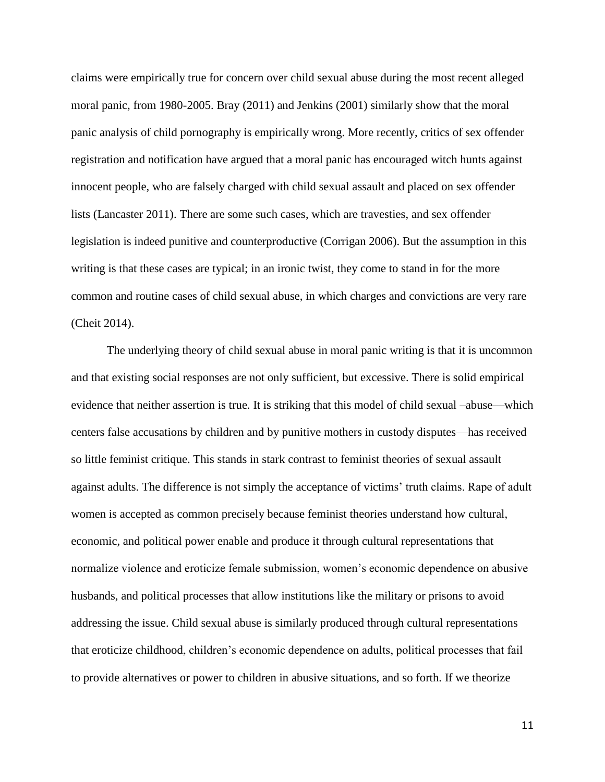claims were empirically true for concern over child sexual abuse during the most recent alleged moral panic, from 1980-2005. Bray (2011) and Jenkins (2001) similarly show that the moral panic analysis of child pornography is empirically wrong. More recently, critics of sex offender registration and notification have argued that a moral panic has encouraged witch hunts against innocent people, who are falsely charged with child sexual assault and placed on sex offender lists (Lancaster 2011). There are some such cases, which are travesties, and sex offender legislation is indeed punitive and counterproductive (Corrigan 2006). But the assumption in this writing is that these cases are typical; in an ironic twist, they come to stand in for the more common and routine cases of child sexual abuse, in which charges and convictions are very rare (Cheit 2014).

The underlying theory of child sexual abuse in moral panic writing is that it is uncommon and that existing social responses are not only sufficient, but excessive. There is solid empirical evidence that neither assertion is true. It is striking that this model of child sexual –abuse—which centers false accusations by children and by punitive mothers in custody disputes—has received so little feminist critique. This stands in stark contrast to feminist theories of sexual assault against adults. The difference is not simply the acceptance of victims' truth claims. Rape of adult women is accepted as common precisely because feminist theories understand how cultural, economic, and political power enable and produce it through cultural representations that normalize violence and eroticize female submission, women's economic dependence on abusive husbands, and political processes that allow institutions like the military or prisons to avoid addressing the issue. Child sexual abuse is similarly produced through cultural representations that eroticize childhood, children's economic dependence on adults, political processes that fail to provide alternatives or power to children in abusive situations, and so forth. If we theorize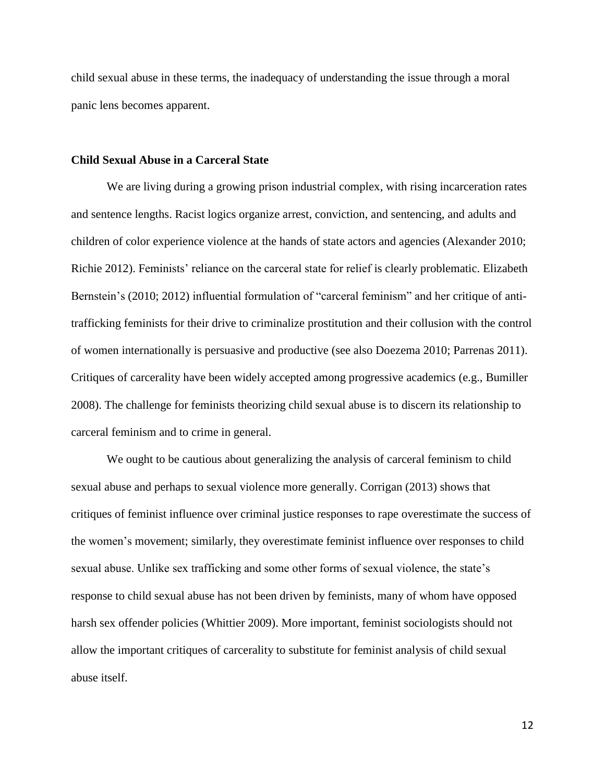child sexual abuse in these terms, the inadequacy of understanding the issue through a moral panic lens becomes apparent.

#### **Child Sexual Abuse in a Carceral State**

We are living during a growing prison industrial complex, with rising incarceration rates and sentence lengths. Racist logics organize arrest, conviction, and sentencing, and adults and children of color experience violence at the hands of state actors and agencies (Alexander 2010; Richie 2012). Feminists' reliance on the carceral state for relief is clearly problematic. Elizabeth Bernstein's (2010; 2012) influential formulation of "carceral feminism" and her critique of antitrafficking feminists for their drive to criminalize prostitution and their collusion with the control of women internationally is persuasive and productive (see also Doezema 2010; Parrenas 2011). Critiques of carcerality have been widely accepted among progressive academics (e.g., Bumiller 2008). The challenge for feminists theorizing child sexual abuse is to discern its relationship to carceral feminism and to crime in general.

We ought to be cautious about generalizing the analysis of carceral feminism to child sexual abuse and perhaps to sexual violence more generally. Corrigan (2013) shows that critiques of feminist influence over criminal justice responses to rape overestimate the success of the women's movement; similarly, they overestimate feminist influence over responses to child sexual abuse. Unlike sex trafficking and some other forms of sexual violence, the state's response to child sexual abuse has not been driven by feminists, many of whom have opposed harsh sex offender policies (Whittier 2009). More important, feminist sociologists should not allow the important critiques of carcerality to substitute for feminist analysis of child sexual abuse itself.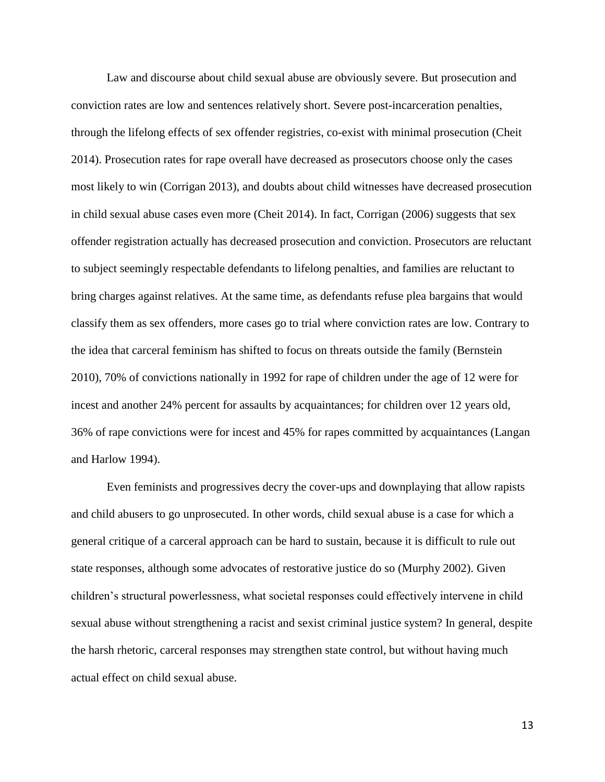Law and discourse about child sexual abuse are obviously severe. But prosecution and conviction rates are low and sentences relatively short. Severe post-incarceration penalties, through the lifelong effects of sex offender registries, co-exist with minimal prosecution (Cheit 2014). Prosecution rates for rape overall have decreased as prosecutors choose only the cases most likely to win (Corrigan 2013), and doubts about child witnesses have decreased prosecution in child sexual abuse cases even more (Cheit 2014). In fact, Corrigan (2006) suggests that sex offender registration actually has decreased prosecution and conviction. Prosecutors are reluctant to subject seemingly respectable defendants to lifelong penalties, and families are reluctant to bring charges against relatives. At the same time, as defendants refuse plea bargains that would classify them as sex offenders, more cases go to trial where conviction rates are low. Contrary to the idea that carceral feminism has shifted to focus on threats outside the family (Bernstein 2010), 70% of convictions nationally in 1992 for rape of children under the age of 12 were for incest and another 24% percent for assaults by acquaintances; for children over 12 years old, 36% of rape convictions were for incest and 45% for rapes committed by acquaintances (Langan and Harlow 1994).

Even feminists and progressives decry the cover-ups and downplaying that allow rapists and child abusers to go unprosecuted. In other words, child sexual abuse is a case for which a general critique of a carceral approach can be hard to sustain, because it is difficult to rule out state responses, although some advocates of restorative justice do so (Murphy 2002). Given children's structural powerlessness, what societal responses could effectively intervene in child sexual abuse without strengthening a racist and sexist criminal justice system? In general, despite the harsh rhetoric, carceral responses may strengthen state control, but without having much actual effect on child sexual abuse.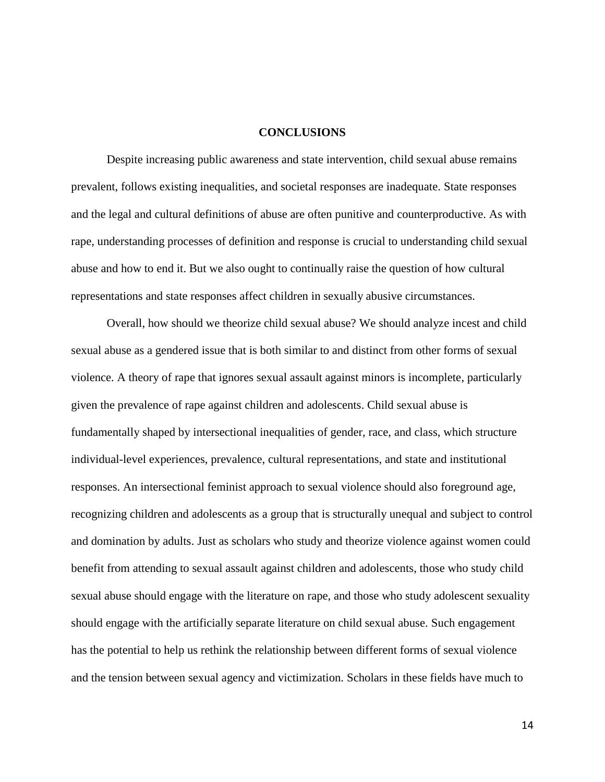#### **CONCLUSIONS**

Despite increasing public awareness and state intervention, child sexual abuse remains prevalent, follows existing inequalities, and societal responses are inadequate. State responses and the legal and cultural definitions of abuse are often punitive and counterproductive. As with rape, understanding processes of definition and response is crucial to understanding child sexual abuse and how to end it. But we also ought to continually raise the question of how cultural representations and state responses affect children in sexually abusive circumstances.

Overall, how should we theorize child sexual abuse? We should analyze incest and child sexual abuse as a gendered issue that is both similar to and distinct from other forms of sexual violence. A theory of rape that ignores sexual assault against minors is incomplete, particularly given the prevalence of rape against children and adolescents. Child sexual abuse is fundamentally shaped by intersectional inequalities of gender, race, and class, which structure individual-level experiences, prevalence, cultural representations, and state and institutional responses. An intersectional feminist approach to sexual violence should also foreground age, recognizing children and adolescents as a group that is structurally unequal and subject to control and domination by adults. Just as scholars who study and theorize violence against women could benefit from attending to sexual assault against children and adolescents, those who study child sexual abuse should engage with the literature on rape, and those who study adolescent sexuality should engage with the artificially separate literature on child sexual abuse. Such engagement has the potential to help us rethink the relationship between different forms of sexual violence and the tension between sexual agency and victimization. Scholars in these fields have much to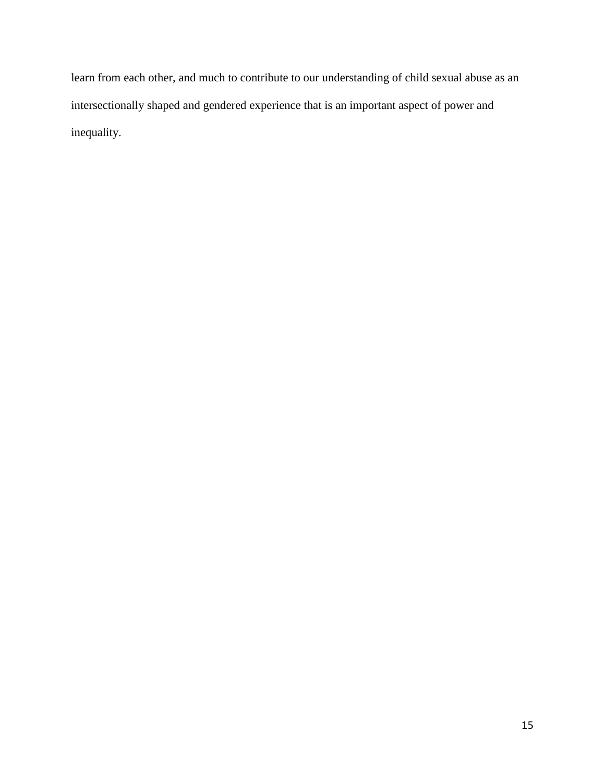learn from each other, and much to contribute to our understanding of child sexual abuse as an intersectionally shaped and gendered experience that is an important aspect of power and inequality.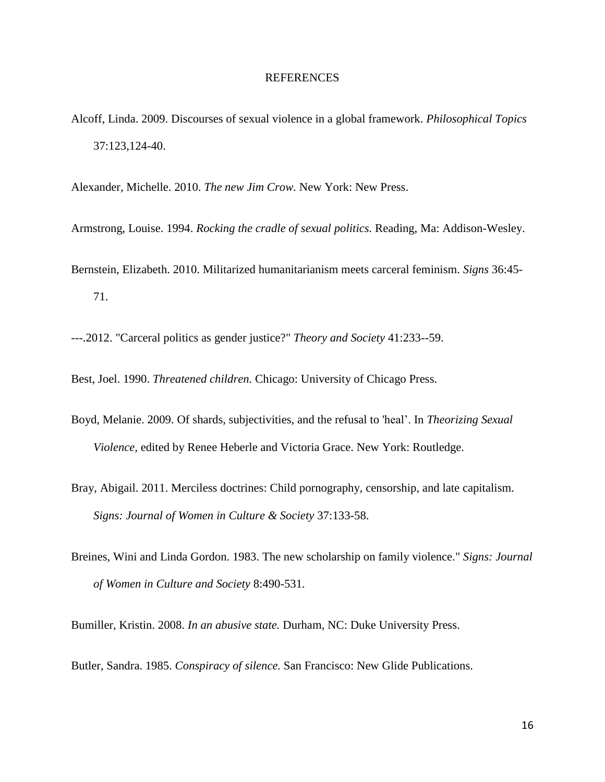## REFERENCES

Alcoff, Linda. 2009. Discourses of sexual violence in a global framework. *Philosophical Topics* 37:123,124-40.

Alexander, Michelle. 2010. *The new Jim Crow.* New York: New Press.

Armstrong, Louise. 1994. *Rocking the cradle of sexual politics.* Reading, Ma: Addison-Wesley.

Bernstein, Elizabeth. 2010. Militarized humanitarianism meets carceral feminism. *Signs* 36:45- 71.

---.2012. "Carceral politics as gender justice?" *Theory and Society* 41:233--59.

Best, Joel. 1990. *Threatened children.* Chicago: University of Chicago Press.

- Boyd, Melanie. 2009. Of shards, subjectivities, and the refusal to 'heal'. In *Theorizing Sexual Violence,* edited by Renee Heberle and Victoria Grace. New York: Routledge.
- Bray, Abigail. 2011. Merciless doctrines: Child pornography, censorship, and late capitalism. *Signs: Journal of Women in Culture & Society* 37:133-58.
- Breines, Wini and Linda Gordon. 1983. The new scholarship on family violence." *Signs: Journal of Women in Culture and Society* 8:490-531.

Bumiller, Kristin. 2008. *In an abusive state.* Durham, NC: Duke University Press.

Butler, Sandra. 1985. *Conspiracy of silence.* San Francisco: New Glide Publications.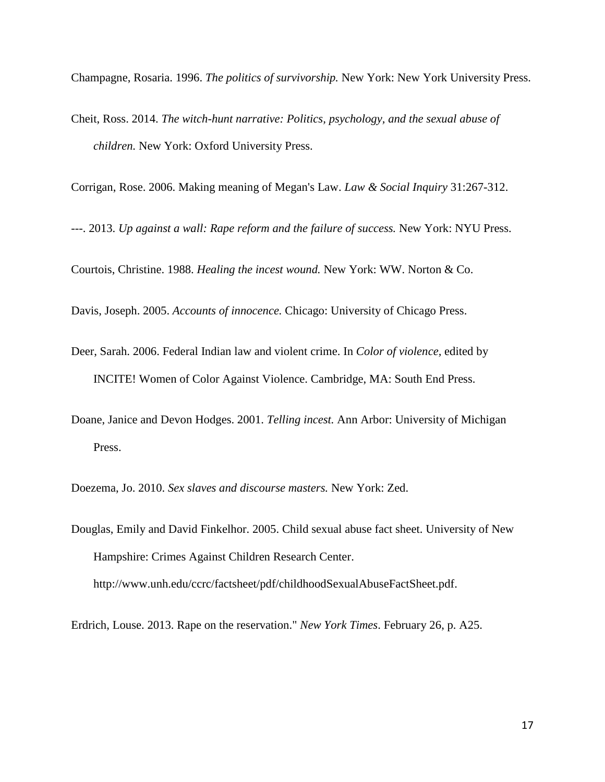Champagne, Rosaria. 1996. *The politics of survivorship.* New York: New York University Press.

Cheit, Ross. 2014. *The witch-hunt narrative: Politics, psychology, and the sexual abuse of children.* New York: Oxford University Press.

Corrigan, Rose. 2006. Making meaning of Megan's Law. *Law & Social Inquiry* 31:267-312.

---. 2013. *Up against a wall: Rape reform and the failure of success.* New York: NYU Press.

Courtois, Christine. 1988. *Healing the incest wound.* New York: WW. Norton & Co.

Davis, Joseph. 2005. *Accounts of innocence.* Chicago: University of Chicago Press.

- Deer, Sarah. 2006. Federal Indian law and violent crime. In *Color of violence,* edited by INCITE! Women of Color Against Violence. Cambridge, MA: South End Press.
- Doane, Janice and Devon Hodges. 2001. *Telling incest.* Ann Arbor: University of Michigan Press.

Doezema, Jo. 2010. *Sex slaves and discourse masters.* New York: Zed.

Douglas, Emily and David Finkelhor. 2005. Child sexual abuse fact sheet. University of New Hampshire: Crimes Against Children Research Center. http://www.unh.edu/ccrc/factsheet/pdf/childhoodSexualAbuseFactSheet.pdf.

Erdrich, Louse. 2013. Rape on the reservation." *New York Times*. February 26, p. A25.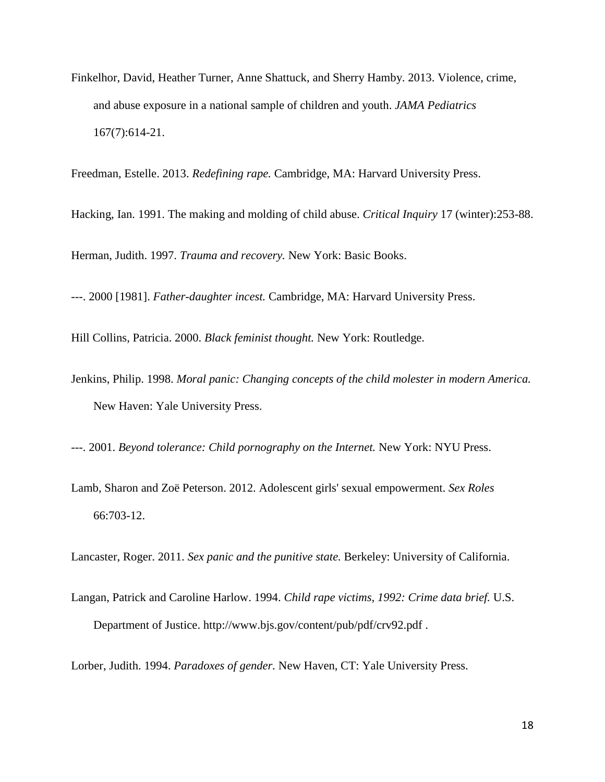Finkelhor, David, Heather Turner, Anne Shattuck, and Sherry Hamby. 2013. Violence, crime, and abuse exposure in a national sample of children and youth. *JAMA Pediatrics* 167(7):614-21.

Freedman, Estelle. 2013. *Redefining rape.* Cambridge, MA: Harvard University Press.

Hacking, Ian. 1991. The making and molding of child abuse. *Critical Inquiry* 17 (winter):253-88.

Herman, Judith. 1997. *Trauma and recovery.* New York: Basic Books.

---. 2000 [1981]. *Father-daughter incest.* Cambridge, MA: Harvard University Press.

Hill Collins, Patricia. 2000. *Black feminist thought.* New York: Routledge.

Jenkins, Philip. 1998. *Moral panic: Changing concepts of the child molester in modern America.* New Haven: Yale University Press.

---. 2001. *Beyond tolerance: Child pornography on the Internet.* New York: NYU Press.

Lamb, Sharon and Zoë Peterson. 2012. Adolescent girls' sexual empowerment. *Sex Roles* 66:703-12.

Lancaster, Roger. 2011. *Sex panic and the punitive state.* Berkeley: University of California.

Langan, Patrick and Caroline Harlow. 1994. *Child rape victims, 1992: Crime data brief.* U.S. Department of Justice. http://www.bjs.gov/content/pub/pdf/crv92.pdf .

Lorber, Judith. 1994. *Paradoxes of gender.* New Haven, CT: Yale University Press.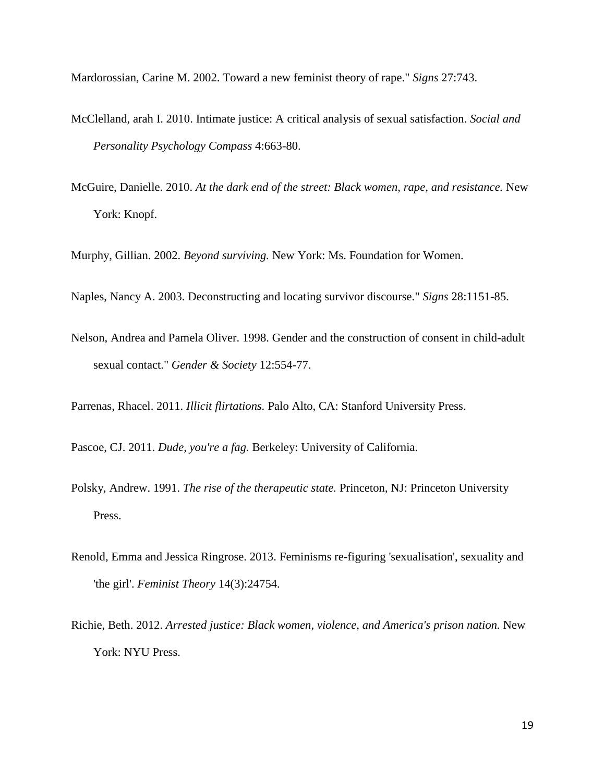Mardorossian, Carine M. 2002. Toward a new feminist theory of rape." *Signs* 27:743.

- McClelland, arah I. 2010. Intimate justice: A critical analysis of sexual satisfaction. *Social and Personality Psychology Compass* 4:663-80.
- McGuire, Danielle. 2010. *At the dark end of the street: Black women, rape, and resistance.* New York: Knopf.

Murphy, Gillian. 2002. *Beyond surviving.* New York: Ms. Foundation for Women.

Naples, Nancy A. 2003. Deconstructing and locating survivor discourse." *Signs* 28:1151-85.

Nelson, Andrea and Pamela Oliver. 1998. Gender and the construction of consent in child-adult sexual contact." *Gender & Society* 12:554-77.

Parrenas, Rhacel. 2011. *Illicit flirtations.* Palo Alto, CA: Stanford University Press.

Pascoe, CJ. 2011. *Dude, you're a fag.* Berkeley: University of California.

- Polsky, Andrew. 1991. *The rise of the therapeutic state.* Princeton, NJ: Princeton University Press.
- Renold, Emma and Jessica Ringrose. 2013. Feminisms re-figuring 'sexualisation', sexuality and 'the girl'. *Feminist Theory* 14(3):24754.
- Richie, Beth. 2012. *Arrested justice: Black women, violence, and America's prison nation.* New York: NYU Press.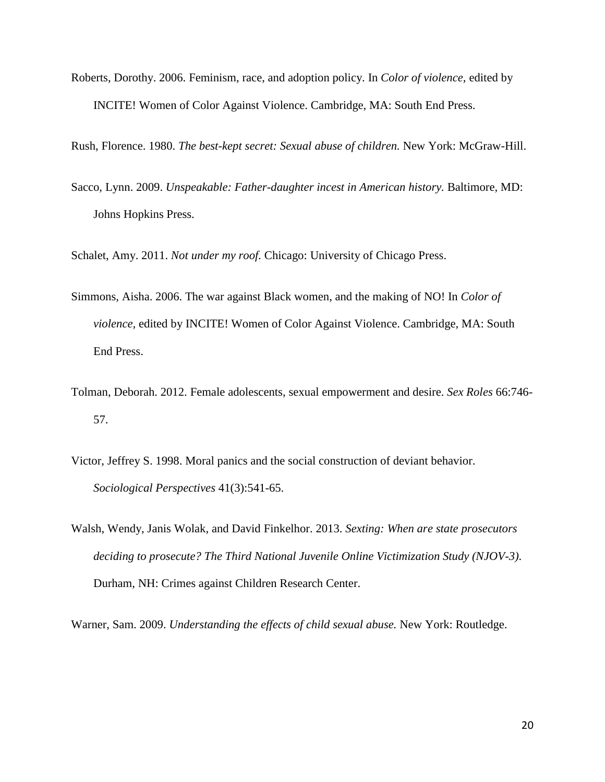Roberts, Dorothy. 2006. Feminism, race, and adoption policy. In *Color of violence,* edited by INCITE! Women of Color Against Violence. Cambridge, MA: South End Press.

Rush, Florence. 1980. *The best-kept secret: Sexual abuse of children.* New York: McGraw-Hill.

Sacco, Lynn. 2009. *Unspeakable: Father-daughter incest in American history.* Baltimore, MD: Johns Hopkins Press.

Schalet, Amy. 2011. *Not under my roof.* Chicago: University of Chicago Press.

- Simmons, Aisha. 2006. The war against Black women, and the making of NO! In *Color of violence,* edited by INCITE! Women of Color Against Violence. Cambridge, MA: South End Press.
- Tolman, Deborah. 2012. Female adolescents, sexual empowerment and desire. *Sex Roles* 66:746- 57.
- Victor, Jeffrey S. 1998. Moral panics and the social construction of deviant behavior. *Sociological Perspectives* 41(3):541-65.
- Walsh, Wendy, Janis Wolak, and David Finkelhor. 2013. *Sexting: When are state prosecutors deciding to prosecute? The Third National Juvenile Online Victimization Study (NJOV-3).*  Durham, NH: Crimes against Children Research Center.

Warner, Sam. 2009. *Understanding the effects of child sexual abuse.* New York: Routledge.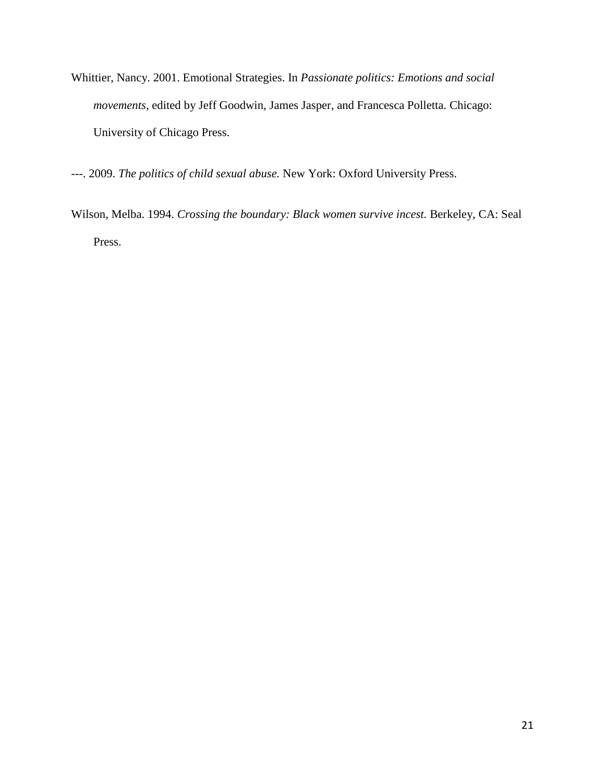- Whittier, Nancy. 2001. Emotional Strategies. In *Passionate politics: Emotions and social movements,* edited by Jeff Goodwin, James Jasper, and Francesca Polletta. Chicago: University of Chicago Press.
- ---. 2009. *The politics of child sexual abuse.* New York: Oxford University Press.
- Wilson, Melba. 1994. *Crossing the boundary: Black women survive incest.* Berkeley, CA: Seal Press.